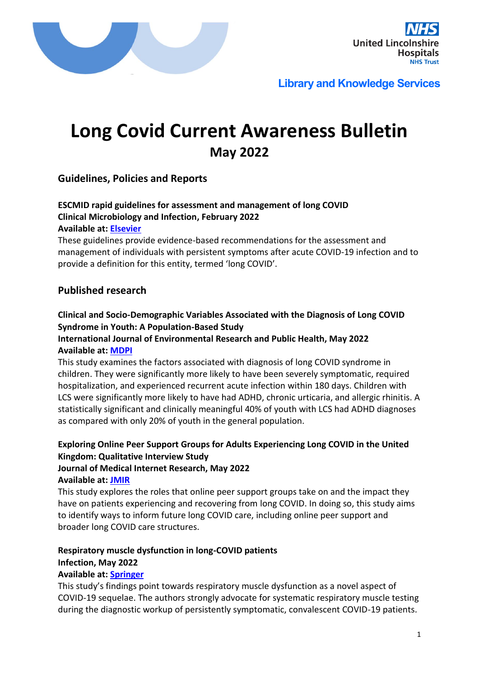



# **Long Covid Current Awareness Bulletin May 2022**

## **Guidelines, Policies and Reports**

## **ESCMID rapid guidelines for assessment and management of long COVID Clinical Microbiology and Infection, February 2022 Available at: [Elsevier](https://www.ncbi.nlm.nih.gov/pmc/articles/PMC8849856/pdf/main.pdf)**

These guidelines provide evidence-based recommendations for the assessment and management of individuals with persistent symptoms after acute COVID-19 infection and to provide a definition for this entity, termed 'long COVID'.

## **Published research**

## **Clinical and Socio-Demographic Variables Associated with the Diagnosis of Long COVID Syndrome in Youth: A Population-Based Study**

## **International Journal of Environmental Research and Public Health, May 2022 Available at: [MDPI](https://www.mdpi.com/1660-4601/19/10/5993/htm)**

This study examines the factors associated with diagnosis of long COVID syndrome in children. They were significantly more likely to have been severely symptomatic, required hospitalization, and experienced recurrent acute infection within 180 days. Children with LCS were significantly more likely to have had ADHD, chronic urticaria, and allergic rhinitis. A statistically significant and clinically meaningful 40% of youth with LCS had ADHD diagnoses as compared with only 20% of youth in the general population.

## **Exploring Online Peer Support Groups for Adults Experiencing Long COVID in the United Kingdom: Qualitative Interview Study**

# **Journal of Medical Internet Research, May 2022**

#### **Available at: [JMIR](https://www.jmir.org/2022/5/e37674)**

This study explores the roles that online peer support groups take on and the impact they have on patients experiencing and recovering from long COVID. In doing so, this study aims to identify ways to inform future long COVID care, including online peer support and broader long COVID care structures.

#### **Respiratory muscle dysfunction in long-COVID patients Infection, May 2022**

## **Available at: [Springer](https://link.springer.com/content/pdf/10.1007/s15010-022-01840-9.pdf)**

This study's findings point towards respiratory muscle dysfunction as a novel aspect of COVID-19 sequelae. The authors strongly advocate for systematic respiratory muscle testing during the diagnostic workup of persistently symptomatic, convalescent COVID-19 patients.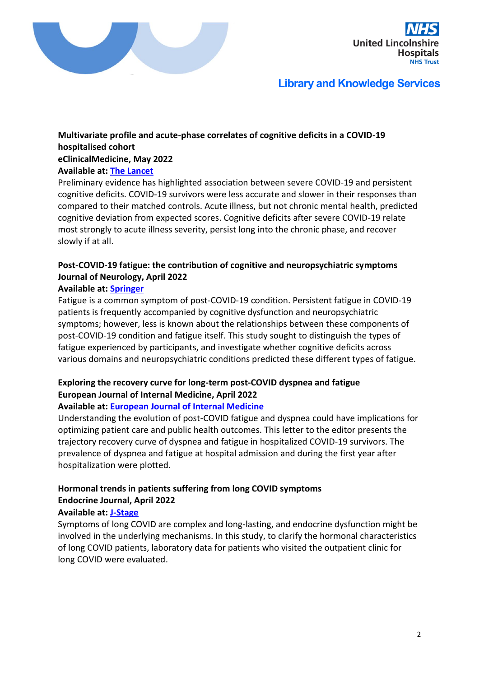



## **Multivariate profile and acute-phase correlates of cognitive deficits in a COVID-19 hospitalised cohort eClinicalMedicine, May 2022**

#### **Available at: [The Lancet](https://www.thelancet.com/action/showPdf?pii=S2589-5370%2822%2900147-X)**

Preliminary evidence has highlighted association between severe COVID-19 and persistent cognitive deficits. COVID-19 survivors were less accurate and slower in their responses than compared to their matched controls. Acute illness, but not chronic mental health, predicted cognitive deviation from expected scores. Cognitive deficits after severe COVID-19 relate most strongly to acute illness severity, persist long into the chronic phase, and recover slowly if at all.

## **Post-COVID-19 fatigue: the contribution of cognitive and neuropsychiatric symptoms Journal of Neurology, April 2022**

#### **Available at: [Springer](https://link.springer.com/article/10.1007/s00415-022-11141-8)**

Fatigue is a common symptom of post-COVID-19 condition. Persistent fatigue in COVID-19 patients is frequently accompanied by cognitive dysfunction and neuropsychiatric symptoms; however, less is known about the relationships between these components of post-COVID-19 condition and fatigue itself. This study sought to distinguish the types of fatigue experienced by participants, and investigate whether cognitive deficits across various domains and neuropsychiatric conditions predicted these different types of fatigue.

## **Exploring the recovery curve for long-term post-COVID dyspnea and fatigue European Journal of Internal Medicine, April 2022**

## **Available at: [European Journal of Internal Medicine](https://www.ejinme.com/article/S0953-6205(22)00136-4/fulltext)**

Understanding the evolution of post-COVID fatigue and dyspnea could have implications for optimizing patient care and public health outcomes. This letter to the editor presents the trajectory recovery curve of dyspnea and fatigue in hospitalized COVID-19 survivors. The prevalence of dyspnea and fatigue at hospital admission and during the first year after hospitalization were plotted.

## **Hormonal trends in patients suffering from long COVID symptoms Endocrine Journal, April 2022**

#### **Available at: [J-Stage](https://www.jstage.jst.go.jp/article/endocrj/advpub/0/advpub_EJ22-0093/_pdf/-char/ja)**

Symptoms of long COVID are complex and long-lasting, and endocrine dysfunction might be involved in the underlying mechanisms. In this study, to clarify the hormonal characteristics of long COVID patients, laboratory data for patients who visited the outpatient clinic for long COVID were evaluated.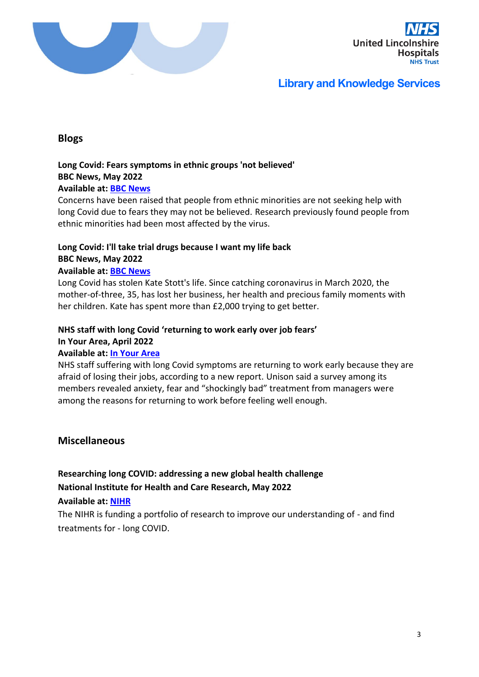



## **Blogs**

#### **Long Covid: Fears symptoms in ethnic groups 'not believed' BBC News, May 2022**

## **Available at: [BBC News](https://www.bbc.co.uk/news/uk-england-oxfordshire-61392848)**

Concerns have been raised that people from ethnic minorities are not seeking help with long Covid due to fears they may not be believed. Research previously found people from ethnic minorities had been most affected by the virus.

# **Long Covid: I'll take trial drugs because I want my life back BBC News, May 2022**

## **Available at: [BBC News](https://www.bbc.co.uk/news/uk-scotland-north-east-orkney-shetland-61338227)**

Long Covid has stolen Kate Stott's life. Since catching coronavirus in March 2020, the mother-of-three, 35, has lost her business, her health and precious family moments with her children. Kate has spent more than £2,000 trying to get better.

#### **NHS staff with long Covid 'returning to work early over job fears' In Your Area, April 2022**

## **Available at: [In Your Area](https://www.inyourarea.co.uk/news/nhs-staff-with-long-covid-returning-to-work-early-over-job-fears/)**

NHS staff suffering with long Covid symptoms are returning to work early because they are afraid of losing their jobs, according to a new report. Unison said a survey among its members revealed anxiety, fear and "shockingly bad" treatment from managers were among the reasons for returning to work before feeling well enough.

## **Miscellaneous**

## **Researching long COVID: addressing a new global health challenge National Institute for Health and Care Research, May 2022**

#### **Available at: [NIHR](https://evidence.nihr.ac.uk/themed-review/researching-long-covid-addressing-a-new-global-health-challenge/)**

The NIHR is funding a portfolio of research to improve our understanding of - and find treatments for - long COVID.